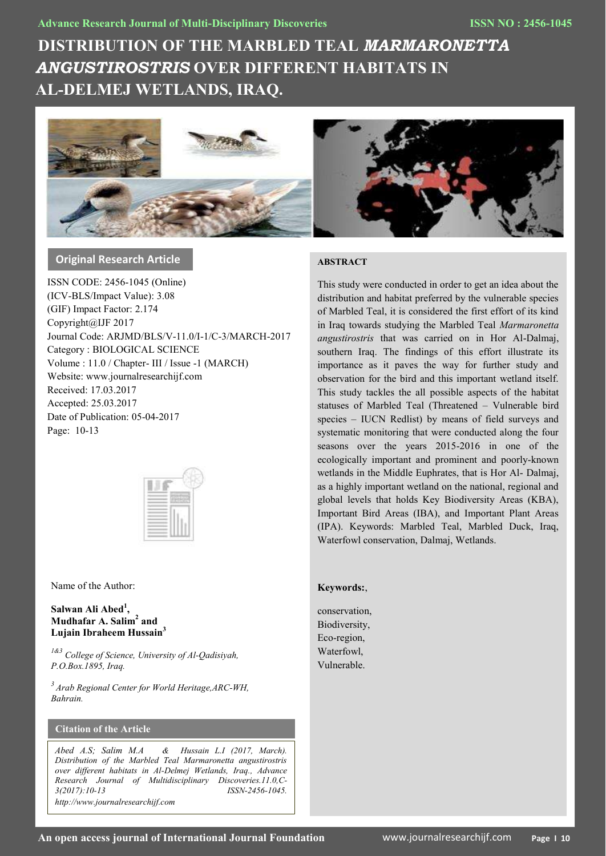# **DISTRIBUTION OF THE MARBLED TEAL** *MARMARONETTA ANGUSTIROSTRIS* **OVER DIFFERENT HABITATS IN AL-DELMEJ WETLANDS, IRAQ.**



# **Original Research Article**

ISSN CODE: 2456-1045 (Online) (ICV-BLS/Impact Value): 3.08 (GIF) Impact Factor: 2.174 Copyright@IJF 2017 Journal Code: ARJMD/BLS/V-11.0/I-1/C-3/MARCH-2017 Category : BIOLOGICAL SCIENCE Volume : 11.0 / Chapter- III / Issue -1 (MARCH) Website: www.journalresearchijf.com Received: 17.03.2017 Accepted: 25.03.2017 Date of Publication: 05-04-2017 Page: 10-13



Name of the Author:

## **Salwan Ali Abed<sup>1</sup> , Mudhafar A. Salim<sup>2</sup> and Lujain Ibraheem Hussain<sup>3</sup>**

*1&3 College of Science, University of Al-Qadisiyah, P.O.Box.1895, Iraq.*

*<sup>3</sup>Arab Regional Center for World Heritage,ARC-WH, Bahrain.*

# **Citation of the Article**

*Abed A.S; Salim M.A & Hussain L.I (2017, March). Distribution of the Marbled Teal Marmaronetta angustirostris over different habitats in Al-Delmej Wetlands, Iraq., Advance Research Journal of Multidisciplinary Discoveries.11.0,C-3(2017):10-13 ISSN-2456-1045. http://www.journalresearchijf.com***e;**

#### **ABSTRACT**

This study were conducted in order to get an idea about the distribution and habitat preferred by the vulnerable species of Marbled Teal, it is considered the first effort of its kind in Iraq towards studying the Marbled Teal *Marmaronetta angustirostris* that was carried on in Hor Al-Dalmaj, southern Iraq. The findings of this effort illustrate its importance as it paves the way for further study and observation for the bird and this important wetland itself. This study tackles the all possible aspects of the habitat statuses of Marbled Teal (Threatened – Vulnerable bird species – IUCN Redlist) by means of field surveys and systematic monitoring that were conducted along the four seasons over the years 2015-2016 in one of the ecologically important and prominent and poorly-known wetlands in the Middle Euphrates, that is Hor Al- Dalmaj, as a highly important wetland on the national, regional and global levels that holds Key Biodiversity Areas (KBA), Important Bird Areas (IBA), and Important Plant Areas (IPA). Keywords: Marbled Teal, Marbled Duck, Iraq, Waterfowl conservation, Dalmaj, Wetlands.

#### **Keywords:**,

conservation, Biodiversity, Eco-region, Waterfowl, Vulnerable.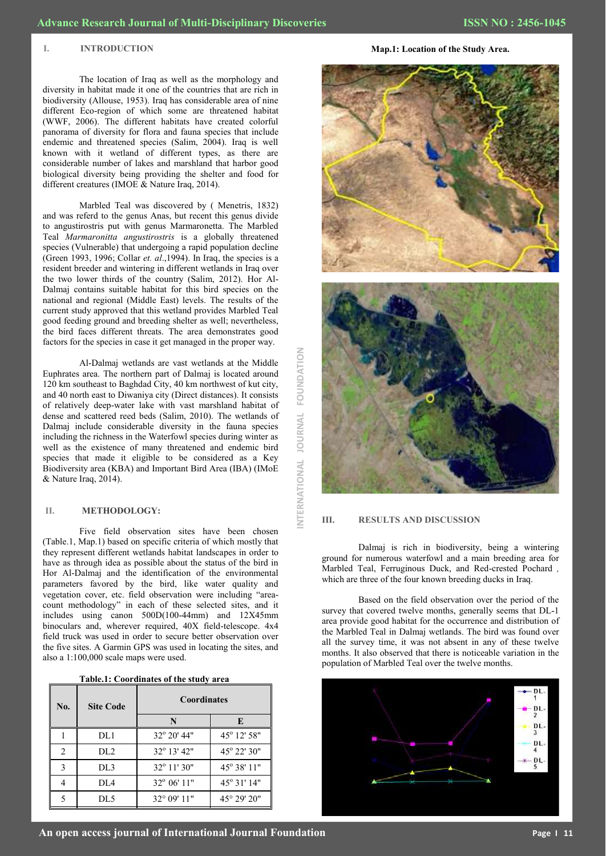#### **I. INTRODUCTION**

The location of Iraq as well as the morphology and diversity in habitat made it one of the countries that are rich in biodiversity (Allouse, 1953). Iraq has considerable area of nine different Eco-region of which some are threatened habitat (WWF, 2006). The different habitats have created colorful panorama of diversity for flora and fauna species that include endemic and threatened species (Salim, 2004). Iraq is well known with it wetland of different types, as there are considerable number of lakes and marshland that harbor good biological diversity being providing the shelter and food for different creatures (IMOE & Nature Iraq, 2014).

Marbled Teal was discovered by ( Menetris, 1832) and was referd to the genus Anas, but recent this genus divide to angustirostris put with genus Marmaronetta. The Marbled Teal *Marmaronitta angustirostris* is a globally threatened species (Vulnerable) that undergoing a rapid population decline (Green 1993, 1996; Collar *et. al*.,1994). In Iraq, the species is a resident breeder and wintering in different wetlands in Iraq over the two lower thirds of the country (Salim, 2012). Hor Al-Dalmaj contains suitable habitat for this bird species on the national and regional (Middle East) levels. The results of the current study approved that this wetland provides Marbled Teal good feeding ground and breeding shelter as well; nevertheless, the bird faces different threats. The area demonstrates good factors for the species in case it get managed in the proper way.

Al-Dalmaj wetlands are vast wetlands at the Middle Euphrates area. The northern part of Dalmaj is located around 120 km southeast to Baghdad City, 40 km northwest of kut city, and 40 north east to Diwaniya city (Direct distances). It consists of relatively deep-water lake with vast marshland habitat of dense and scattered reed beds (Salim, 2010). The wetlands of Dalmaj include considerable diversity in the fauna species including the richness in the Waterfowl species during winter as well as the existence of many threatened and endemic bird species that made it eligible to be considered as a Key Biodiversity area (KBA) and Important Bird Area (IBA) (IMoE & Nature Iraq, 2014).

#### **II. METHODOLOGY:**

Five field observation sites have been chosen (Table.1, Map.1) based on specific criteria of which mostly that they represent different wetlands habitat landscapes in order to have as through idea as possible about the status of the bird in Hor Al-Dalmaj and the identification of the environmental parameters favored by the bird, like water quality and vegetation cover, etc. field observation were including "areacount methodology" in each of these selected sites, and it includes using canon  $500D(100-44mm)$  and  $12X45mm$ binoculars and, wherever required, 40X field-telescope. 4x4 field truck was used in order to secure better observation over the five sites. A Garmin GPS was used in locating the sites, and also a 1:100,000 scale maps were used.

| Table.1: Coordinates of the study area |  |  |
|----------------------------------------|--|--|
|                                        |  |  |

| No.            | <b>Site Code</b> | <b>Coordinates</b>   |                       |  |
|----------------|------------------|----------------------|-----------------------|--|
|                |                  | N                    | E                     |  |
|                | DL1              | $32^{\circ}$ 20' 44" | 45° 12' 58"           |  |
| $\overline{2}$ | DL <sub>2</sub>  | $32^{\circ}$ 13' 42" | 45° 22′ 30″           |  |
| 3              | DL3              | $32^{\circ}$ 11' 30" | $45^{\circ}$ 38' 11"  |  |
| 4              | DL4              | $32^{\circ}$ 06' 11" | $45^{\circ}$ 31' 14"  |  |
|                | DL5              | $32^{\circ}$ 09' 11" | $45^{\circ} 29' 20''$ |  |

**INTERNATIONAL JOURNAL FOUNDATION**FOUNDATION **JOURNAL** NTERNATIONAL

**Map.1: Location of the Study Area.**



#### **III. RESULTS AND DISCUSSION**

Dalmaj is rich in biodiversity, being a wintering ground for numerous waterfowl and a main breeding area for Marbled Teal, Ferruginous Duck, and Red-crested Pochard *,*  which are three of the four known breeding ducks in Iraq.

Based on the field observation over the period of the survey that covered twelve months, generally seems that DL-1 area provide good habitat for the occurrence and distribution of the Marbled Teal in Dalmaj wetlands. The bird was found over all the survey time, it was not absent in any of these twelve months. It also observed that there is noticeable variation in the population of Marbled Teal over the twelve months.

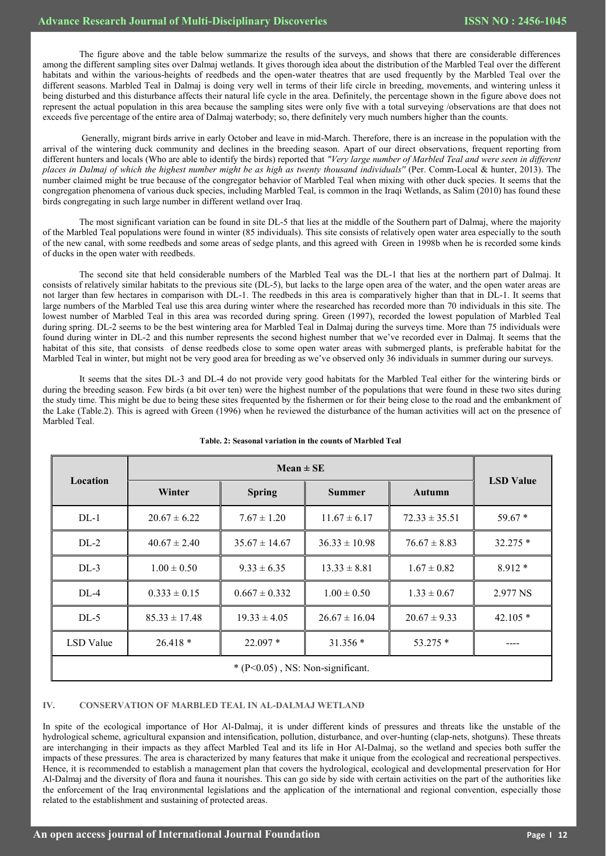The figure above and the table below summarize the results of the surveys, and shows that there are considerable differences among the different sampling sites over Dalmaj wetlands. It gives thorough idea about the distribution of the Marbled Teal over the different habitats and within the various-heights of reedbeds and the open-water theatres that are used frequently by the Marbled Teal over the different seasons. Marbled Teal in Dalmaj is doing very well in terms of their life circle in breeding, movements, and wintering unless it being disturbed and this disturbance affects their natural life cycle in the area. Definitely, the percentage shown in the figure above does not represent the actual population in this area because the sampling sites were only five with a total surveying /observations are that does not exceeds five percentage of the entire area of Dalmaj waterbody; so, there definitely very much numbers higher than the counts.

Generally, migrant birds arrive in early October and leave in mid-March. Therefore, there is an increase in the population with the arrival of the wintering duck community and declines in the breeding season. Apart of our direct observations, frequent reporting from different hunters and locals (Who are able to identify the birds) reported that *"Very large number of Marbled Teal and were seen in different places in Dalmaj of which the highest number might be as high as twenty thousand individuals''* (Per. Comm-Local & hunter, 2013). The number claimed might be true because of the congregator behavior of Marbled Teal when mixing with other duck species. It seems that the congregation phenomena of various duck species, including Marbled Teal, is common in the Iraqi Wetlands, as Salim (2010) has found these birds congregating in such large number in different wetland over Iraq.

The most significant variation can be found in site DL-5 that lies at the middle of the Southern part of Dalmaj, where the majority of the Marbled Teal populations were found in winter (85 individuals). This site consists of relatively open water area especially to the south of the new canal, with some reedbeds and some areas of sedge plants, and this agreed with Green in 1998b when he is recorded some kinds of ducks in the open water with reedbeds.

The second site that held considerable numbers of the Marbled Teal was the DL-1 that lies at the northern part of Dalmaj. It consists of relatively similar habitats to the previous site (DL-5), but lacks to the large open area of the water, and the open water areas are not larger than few hectares in comparison with DL-1. The reedbeds in this area is comparatively higher than that in DL-1. It seems that large numbers of the Marbled Teal use this area during winter where the researched has recorded more than 70 individuals in this site. The lowest number of Marbled Teal in this area was recorded during spring. Green (1997), recorded the lowest population of Marbled Teal during spring. DL-2 seems to be the best wintering area for Marbled Teal in Dalmaj during the surveys time. More than 75 individuals were found during winter in DL-2 and this number represents the second highest number that we've recorded ever in Dalmaj. It seems that the habitat of this site, that consists of dense reedbeds close to some open water areas with submerged plants, is preferable habitat for the Marbled Teal in winter, but might not be very good area for breeding as we've observed only 36 individuals in summer during our surveys.

It seems that the sites DL-3 and DL-4 do not provide very good habitats for the Marbled Teal either for the wintering birds or during the breeding season. Few birds (a bit over ten) were the highest number of the populations that were found in these two sites during the study time. This might be due to being these sites frequented by the fishermen or for their being close to the road and the embankment of the Lake (Table.2). This is agreed with Green (1996) when he reviewed the disturbance of the human activities will act on the presence of Marbled Teal.

| Location                           |                   |                   |                   |                   |                  |  |
|------------------------------------|-------------------|-------------------|-------------------|-------------------|------------------|--|
|                                    | Winter            | <b>Spring</b>     | <b>Summer</b>     | Autumn            | <b>LSD</b> Value |  |
| $DL-1$                             | $20.67 \pm 6.22$  | $7.67 \pm 1.20$   | $11.67 \pm 6.17$  | $72.33 \pm 35.51$ | $59.67*$         |  |
| $DL-2$                             | $40.67 \pm 2.40$  | $35.67 \pm 14.67$ | $36.33 \pm 10.98$ | $76.67 \pm 8.83$  | $32.275*$        |  |
| $DL-3$                             | $1.00 \pm 0.50$   | $9.33 \pm 6.35$   | $13.33 \pm 8.81$  | $1.67 \pm 0.82$   | $8.912*$         |  |
| DL-4                               | $0.333 \pm 0.15$  | $0.667 \pm 0.332$ | $1.00 \pm 0.50$   | $1.33 \pm 0.67$   | 2.977 NS         |  |
| $DL-5$                             | $85.33 \pm 17.48$ | $19.33 \pm 4.05$  | $26.67 \pm 16.04$ | $20.67 \pm 9.33$  | $42.105*$        |  |
| LSD Value                          | $26.418*$         | $22.097*$         | $31.356*$         | $53.275*$         |                  |  |
| $*(P<0.05)$ , NS: Non-significant. |                   |                   |                   |                   |                  |  |

#### **Table. 2: Seasonal variation in the counts of Marbled Teal**

### **IV. CONSERVATION OF MARBLED TEAL IN AL-DALMAJ WETLAND**

In spite of the ecological importance of Hor Al-Dalmaj, it is under different kinds of pressures and threats like the unstable of the hydrological scheme, agricultural expansion and intensification, pollution, disturbance, and over-hunting (clap-nets, shotguns). These threats are interchanging in their impacts as they affect Marbled Teal and its life in Hor Al-Dalmaj, so the wetland and species both suffer the impacts of these pressures. The area is characterized by many features that make it unique from the ecological and recreational perspectives. Hence, it is recommended to establish a management plan that covers the hydrological, ecological and developmental preservation for Hor Al-Dalmaj and the diversity of flora and fauna it nourishes. This can go side by side with certain activities on the part of the authorities like the enforcement of the Iraq environmental legislations and the application of the international and regional convention, especially those related to the establishment and sustaining of protected areas.